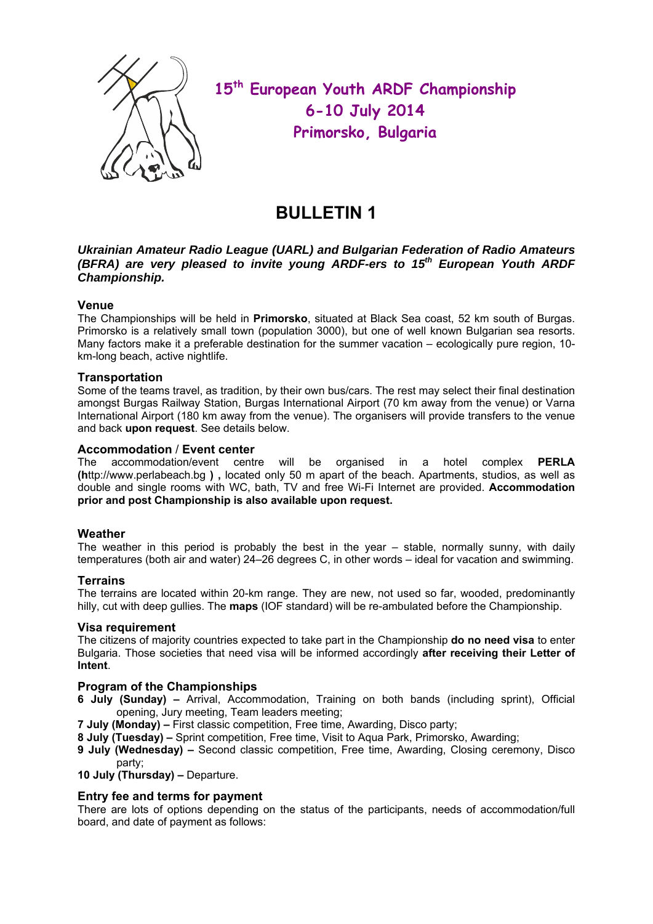

 **15th European Youth ARDF Championship 6-10 July 2014 Primorsko, Bulgaria** 

## **BULLETIN 1**

## *Ukrainian Amateur Radio League (UARL) and Bulgarian Federation of Radio Amateurs (BFRA) are very pleased to invite young ARDF-ers to 15th European Youth ARDF Championship.*

## **Venue**

The Championships will be held in **Primorsko**, situated at Black Sea coast, 52 km south of Burgas. Primorsko is a relatively small town (population 3000), but one of well known Bulgarian sea resorts. Many factors make it a preferable destination for the summer vacation – ecologically pure region, 10 km-long beach, active nightlife.

#### **Transportation**

Some of the teams travel, as tradition, by their own bus/cars. The rest may select their final destination amongst Burgas Railway Station, Burgas International Airport (70 km away from the venue) or Varna International Airport (180 km away from the venue). The organisers will provide transfers to the venue and back **upon request**. See details below.

#### **Accommodation** / **Event center**

The accommodation/event centre will be organised in a hotel complex **PERLA (h**ttp://www.perlabeach.bg **) ,** located only 50 m apart of the beach. Apartments, studios, as well as double and single rooms with WC, bath, TV and free Wi-Fi Internet are provided. **Accommodation prior and post Championship is also available upon request.** 

## **Weather**

The weather in this period is probably the best in the year – stable, normally sunny, with daily temperatures (both air and water) 24–26 degrees C, in other words – ideal for vacation and swimming.

#### **Terrains**

The terrains are located within 20-km range. They are new, not used so far, wooded, predominantly hilly, cut with deep gullies. The **maps** (IOF standard) will be re-ambulated before the Championship.

#### **Visa requirement**

The citizens of majority countries expected to take part in the Championship **do no need visa** to enter Bulgaria. Those societies that need visa will be informed accordingly **after receiving their Letter of Intent**.

## **Program of the Championships**

- **6 July (Sunday)** Arrival, Accommodation, Training on both bands (including sprint), Official opening, Jury meeting, Team leaders meeting;
- **7 July (Monday)** First classic competition, Free time, Awarding, Disco party;
- **8 July (Tuesday)** Sprint competition, Free time, Visit to Aqua Park, Primorsko, Awarding;
- **9 July (Wednesday)** Second classic competition, Free time, Awarding, Closing ceremony, Disco party;

**10 July (Thursday) –** Departure.

## **Entry fee and terms for payment**

There are lots of options depending on the status of the participants, needs of accommodation/full board, and date of payment as follows: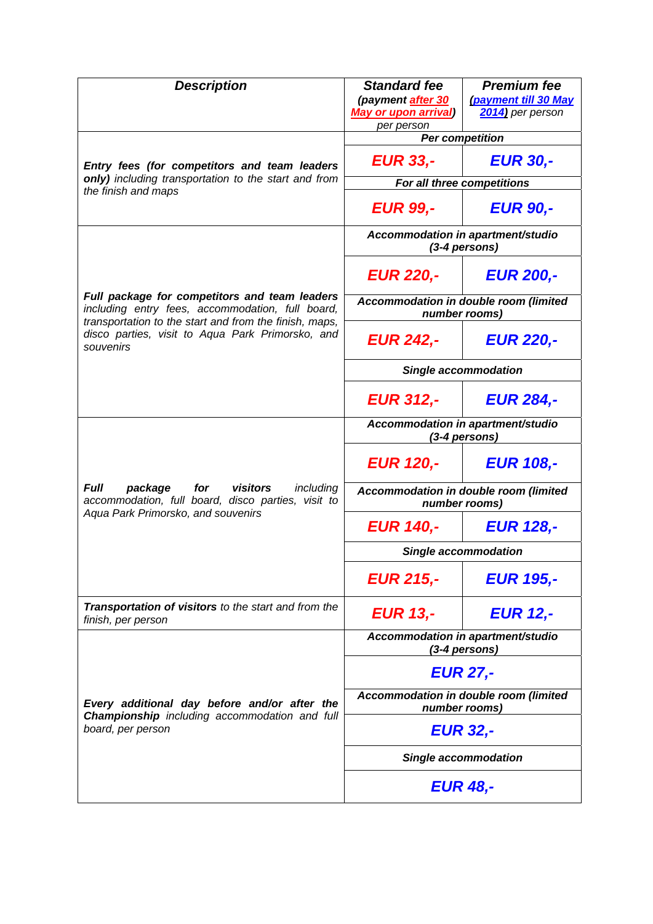| <b>Description</b>                                                                                                                                                                                                           | <b>Standard fee</b><br>(payment after 30<br><b>May or upon arrival)</b> | <b>Premium fee</b><br>(payment till 30 May<br>2014) per person |
|------------------------------------------------------------------------------------------------------------------------------------------------------------------------------------------------------------------------------|-------------------------------------------------------------------------|----------------------------------------------------------------|
| Entry fees (for competitors and team leaders<br>only) including transportation to the start and from<br>the finish and maps                                                                                                  | per person<br><b>Per competition</b>                                    |                                                                |
|                                                                                                                                                                                                                              | <b>EUR 33,-</b>                                                         | <b>EUR 30,-</b>                                                |
|                                                                                                                                                                                                                              | For all three competitions                                              |                                                                |
|                                                                                                                                                                                                                              | <b>EUR 99,-</b>                                                         | <b>EUR 90,-</b>                                                |
| Full package for competitors and team leaders<br>including entry fees, accommodation, full board,<br>transportation to the start and from the finish, maps,<br>disco parties, visit to Aqua Park Primorsko, and<br>souvenirs | Accommodation in apartment/studio<br>(3-4 persons)                      |                                                                |
|                                                                                                                                                                                                                              | <b>EUR 220,-</b>                                                        | <b>EUR 200,-</b>                                               |
|                                                                                                                                                                                                                              | Accommodation in double room (limited<br>number rooms)                  |                                                                |
|                                                                                                                                                                                                                              | <b>EUR 242,-</b>                                                        | <b>EUR 220,-</b>                                               |
|                                                                                                                                                                                                                              | <b>Single accommodation</b>                                             |                                                                |
|                                                                                                                                                                                                                              | <b>EUR 312,-</b>                                                        | <b>EUR 284,-</b>                                               |
| <b>Full</b><br>package<br>for<br>visitors<br>including<br>accommodation, full board, disco parties, visit to<br>Aqua Park Primorsko, and souvenirs                                                                           | Accommodation in apartment/studio<br>(3-4 persons)                      |                                                                |
|                                                                                                                                                                                                                              | <b>EUR 120,-</b>                                                        | <b>EUR 108,-</b>                                               |
|                                                                                                                                                                                                                              | Accommodation in double room (limited<br>number rooms)                  |                                                                |
|                                                                                                                                                                                                                              | <b>EUR 140,-</b>                                                        | <b>EUR 128.-</b>                                               |
|                                                                                                                                                                                                                              | Single accommodation                                                    |                                                                |
|                                                                                                                                                                                                                              | <b>EUR 215,-</b>                                                        | <b>EUR 195,-</b>                                               |
| Transportation of visitors to the start and from the<br>finish, per person                                                                                                                                                   | <b>EUR 13,-</b>                                                         | <b>EUR 12,-</b>                                                |
| Every additional day before and/or after the<br>Championship including accommodation and full<br>board, per person                                                                                                           | Accommodation in apartment/studio<br>(3-4 persons)                      |                                                                |
|                                                                                                                                                                                                                              | <b>EUR 27,-</b>                                                         |                                                                |
|                                                                                                                                                                                                                              | Accommodation in double room (limited<br>number rooms)                  |                                                                |
|                                                                                                                                                                                                                              | <b>EUR 32,-</b>                                                         |                                                                |
|                                                                                                                                                                                                                              | <b>Single accommodation</b>                                             |                                                                |
|                                                                                                                                                                                                                              | <b>EUR 48,-</b>                                                         |                                                                |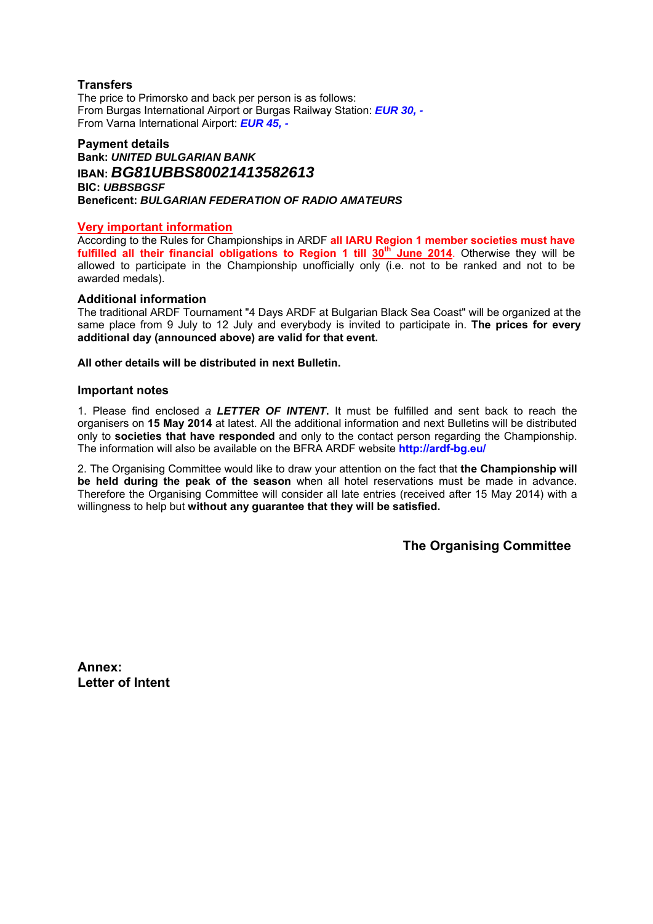## **Transfers**

The price to Primorsko and back per person is as follows: From Burgas International Airport or Burgas Railway Station: *EUR 30, -*  From Varna International Airport: *EUR 45, -* 

## **Payment details Bank:** *UNITED BULGARIAN BANK* **IBAN:** *BG81UBBS80021413582613*  **BIC:** *UBBSBGSF*  **Beneficent:** *BULGARIAN FEDERATION OF RADIO AMATEURS*

#### **Very important information**

According to the Rules for Championships in ARDF **all IARU Region 1 member societies must have**  fulfilled all their financial obligations to Region 1 till 30<sup>th</sup> June 2014. Otherwise they will be allowed to participate in the Championship unofficially only (i.e. not to be ranked and not to be awarded medals).

#### **Additional information**

The traditional ARDF Tournament "4 Days ARDF at Bulgarian Black Sea Coast" will be organized at the same place from 9 July to 12 July and everybody is invited to participate in. **The prices for every additional day (announced above) are valid for that event.**

**All other details will be distributed in next Bulletin.** 

#### **Important notes**

1. Please find enclosed *a LETTER OF INTENT***.** It must be fulfilled and sent back to reach the organisers on **15 May 2014** at latest. All the additional information and next Bulletins will be distributed only to **societies that have responded** and only to the contact person regarding the Championship. The information will also be available on the BFRA ARDF website **http://ardf-bg.eu/** 

2. The Organising Committee would like to draw your attention on the fact that **the Championship will be held during the peak of the season** when all hotel reservations must be made in advance. Therefore the Organising Committee will consider all late entries (received after 15 May 2014) with a willingness to help but **without any guarantee that they will be satisfied.**

**The Organising Committee** 

**Annex: Letter of Intent**